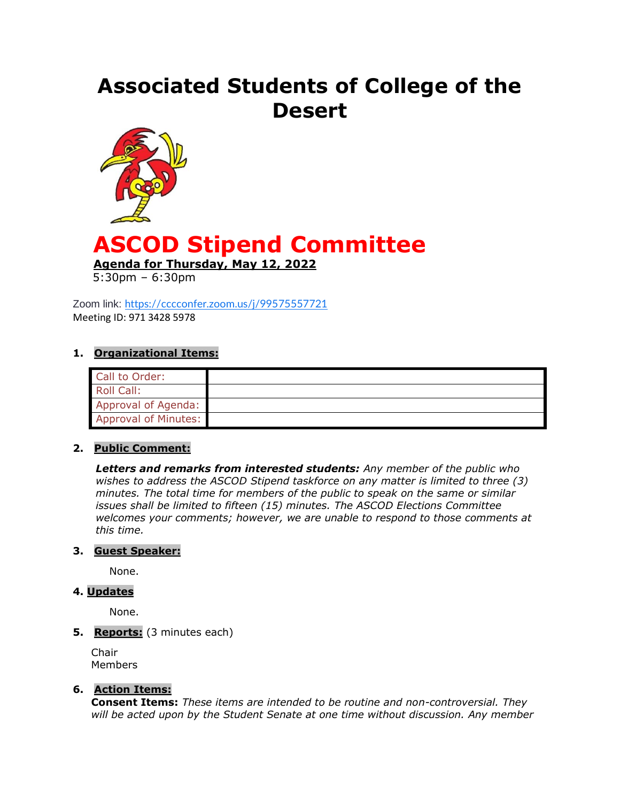# **Associated Students of College of the Desert**



# **ASCOD Stipend Committee**

**Agenda for Thursday, May 12, 2022**

5:30pm – 6:30pm

Zoom link: <https://cccconfer.zoom.us/j/99575557721> Meeting ID: 971 3428 5978

#### **1. Organizational Items:**

| Call to Order:       |  |
|----------------------|--|
| Roll Call:           |  |
| Approval of Agenda:  |  |
| Approval of Minutes: |  |

#### **2. Public Comment:**

*Letters and remarks from interested students: Any member of the public who wishes to address the ASCOD Stipend taskforce on any matter is limited to three (3) minutes. The total time for members of the public to speak on the same or similar issues shall be limited to fifteen (15) minutes. The ASCOD Elections Committee welcomes your comments; however, we are unable to respond to those comments at this time.*

#### **3. Guest Speaker:**

None.

#### **4. Updates**

None.

## **5. Reports:** (3 minutes each)

Chair Members

#### **6. Action Items:**

**Consent Items:** *These items are intended to be routine and non-controversial. They will be acted upon by the Student Senate at one time without discussion. Any member*